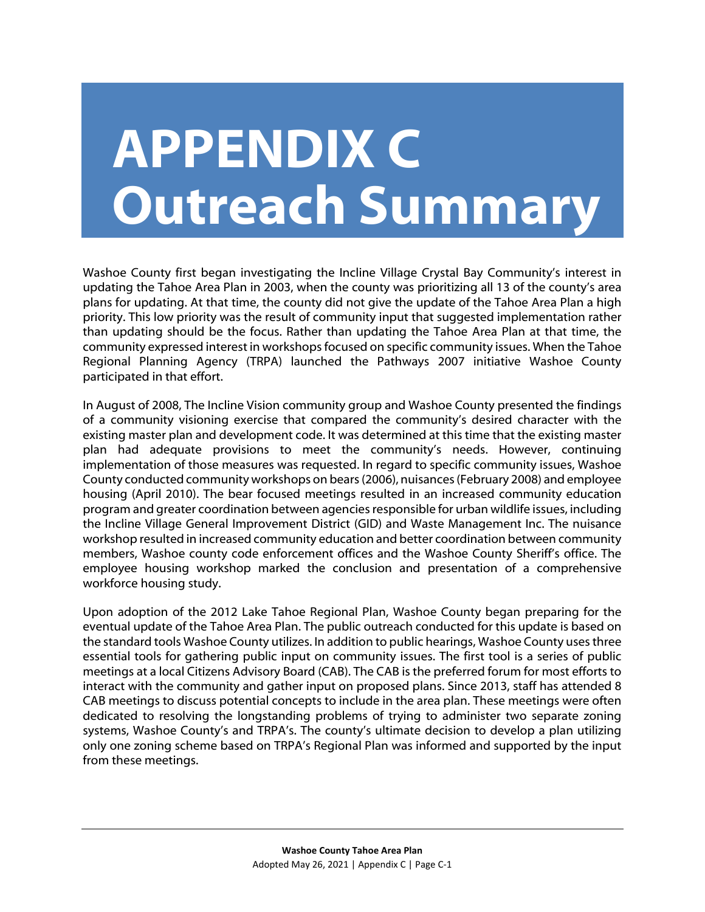## **APPENDIX C Outreach Summary**

Washoe County first began investigating the Incline Village Crystal Bay Community's interest in updating the Tahoe Area Plan in 2003, when the county was prioritizing all 13 of the county's area plans for updating. At that time, the county did not give the update of the Tahoe Area Plan a high priority. This low priority was the result of community input that suggested implementation rather than updating should be the focus. Rather than updating the Tahoe Area Plan at that time, the community expressed interest in workshops focused on specific community issues. When the Tahoe Regional Planning Agency (TRPA) launched the Pathways 2007 initiative Washoe County participated in that effort.

In August of 2008, The Incline Vision community group and Washoe County presented the findings of a community visioning exercise that compared the community's desired character with the existing master plan and development code. It was determined at this time that the existing master plan had adequate provisions to meet the community's needs. However, continuing implementation of those measures was requested. In regard to specific community issues, Washoe County conducted community workshops on bears (2006), nuisances (February 2008) and employee housing (April 2010). The bear focused meetings resulted in an increased community education program and greater coordination between agencies responsible for urban wildlife issues, including the Incline Village General Improvement District (GID) and Waste Management Inc. The nuisance workshop resulted in increased community education and better coordination between community members, Washoe county code enforcement offices and the Washoe County Sheriff's office. The employee housing workshop marked the conclusion and presentation of a comprehensive workforce housing study.

Upon adoption of the 2012 Lake Tahoe Regional Plan, Washoe County began preparing for the eventual update of the Tahoe Area Plan. The public outreach conducted for this update is based on the standard tools Washoe County utilizes. In addition to public hearings, Washoe County uses three essential tools for gathering public input on community issues. The first tool is a series of public meetings at a local Citizens Advisory Board (CAB). The CAB is the preferred forum for most efforts to interact with the community and gather input on proposed plans. Since 2013, staff has attended 8 CAB meetings to discuss potential concepts to include in the area plan. These meetings were often dedicated to resolving the longstanding problems of trying to administer two separate zoning systems, Washoe County's and TRPA's. The county's ultimate decision to develop a plan utilizing only one zoning scheme based on TRPA's Regional Plan was informed and supported by the input from these meetings.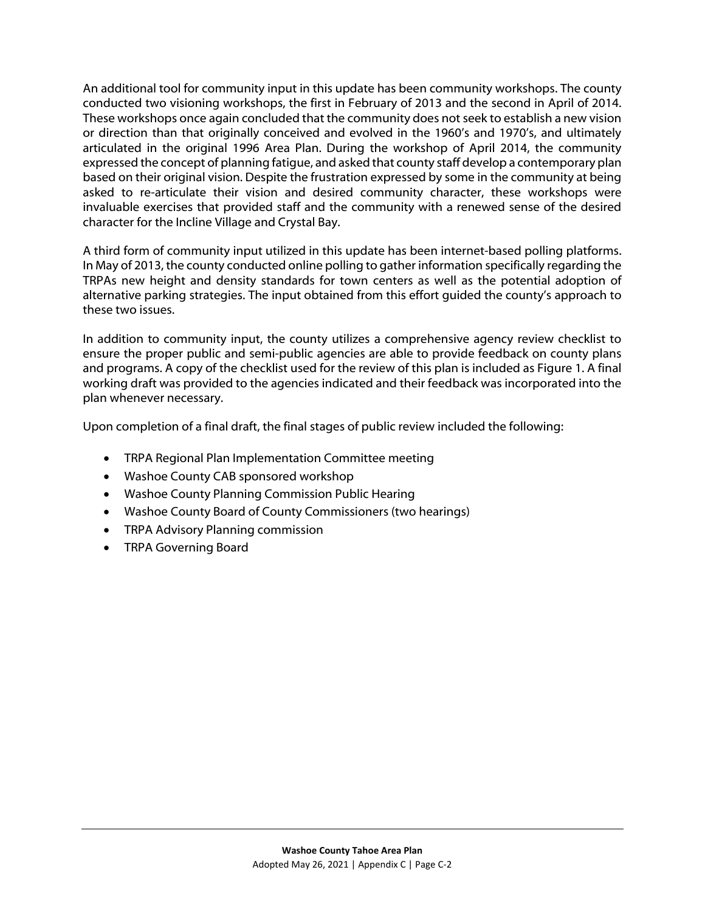An additional tool for community input in this update has been community workshops. The county conducted two visioning workshops, the first in February of 2013 and the second in April of 2014. These workshops once again concluded that the community does not seek to establish a new vision or direction than that originally conceived and evolved in the 1960's and 1970's, and ultimately articulated in the original 1996 Area Plan. During the workshop of April 2014, the community expressed the concept of planning fatigue, and asked that county staff develop a contemporary plan based on their original vision. Despite the frustration expressed by some in the community at being asked to re-articulate their vision and desired community character, these workshops were invaluable exercises that provided staff and the community with a renewed sense of the desired character for the Incline Village and Crystal Bay.

A third form of community input utilized in this update has been internet-based polling platforms. In May of 2013, the county conducted online polling to gather information specifically regarding the TRPAs new height and density standards for town centers as well as the potential adoption of alternative parking strategies. The input obtained from this effort guided the county's approach to these two issues.

In addition to community input, the county utilizes a comprehensive agency review checklist to ensure the proper public and semi-public agencies are able to provide feedback on county plans and programs. A copy of the checklist used for the review of this plan is included as Figure 1. A final working draft was provided to the agencies indicated and their feedback was incorporated into the plan whenever necessary.

Upon completion of a final draft, the final stages of public review included the following:

- TRPA Regional Plan Implementation Committee meeting
- Washoe County CAB sponsored workshop
- Washoe County Planning Commission Public Hearing
- Washoe County Board of County Commissioners (two hearings)
- TRPA Advisory Planning commission
- TRPA Governing Board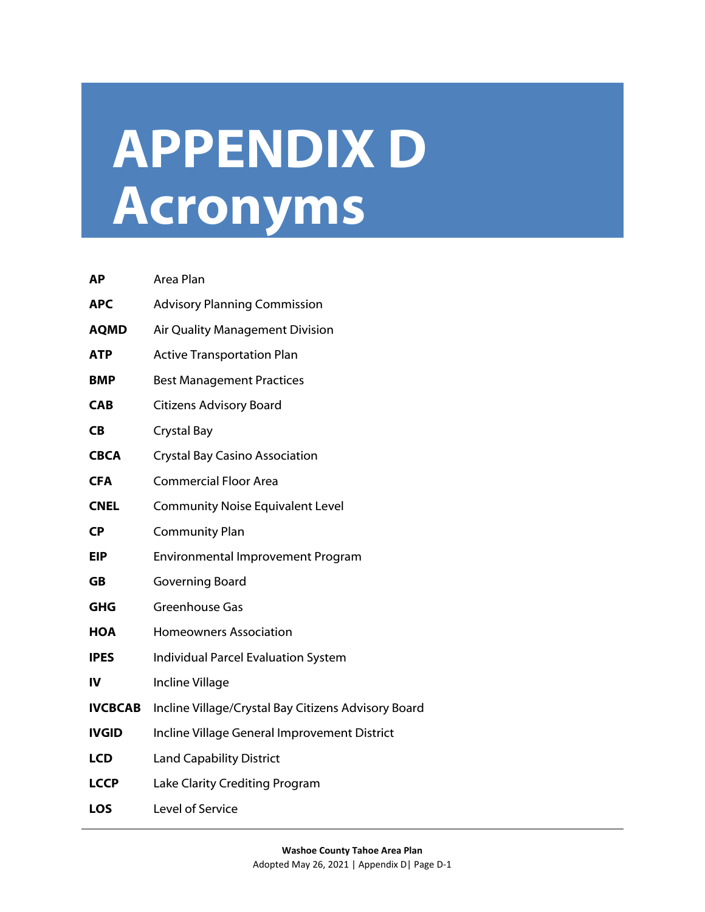## **APPENDIX D Acronyms**

| AP             | Area Plan                                           |
|----------------|-----------------------------------------------------|
| <b>APC</b>     | <b>Advisory Planning Commission</b>                 |
| <b>AQMD</b>    | <b>Air Quality Management Division</b>              |
| <b>ATP</b>     | <b>Active Transportation Plan</b>                   |
| <b>BMP</b>     | <b>Best Management Practices</b>                    |
| <b>CAB</b>     | <b>Citizens Advisory Board</b>                      |
| <b>CB</b>      | <b>Crystal Bay</b>                                  |
| <b>CBCA</b>    | <b>Crystal Bay Casino Association</b>               |
| <b>CFA</b>     | <b>Commercial Floor Area</b>                        |
| <b>CNEL</b>    | <b>Community Noise Equivalent Level</b>             |
| <b>CP</b>      | <b>Community Plan</b>                               |
| <b>EIP</b>     | Environmental Improvement Program                   |
| <b>GB</b>      | Governing Board                                     |
| <b>GHG</b>     | Greenhouse Gas                                      |
| <b>HOA</b>     | <b>Homeowners Association</b>                       |
| <b>IPES</b>    | <b>Individual Parcel Evaluation System</b>          |
| IV             | <b>Incline Village</b>                              |
| <b>IVCBCAB</b> | Incline Village/Crystal Bay Citizens Advisory Board |
| <b>IVGID</b>   | Incline Village General Improvement District        |
| <b>LCD</b>     | <b>Land Capability District</b>                     |
| <b>LCCP</b>    | Lake Clarity Crediting Program                      |
| <b>LOS</b>     | Level of Service                                    |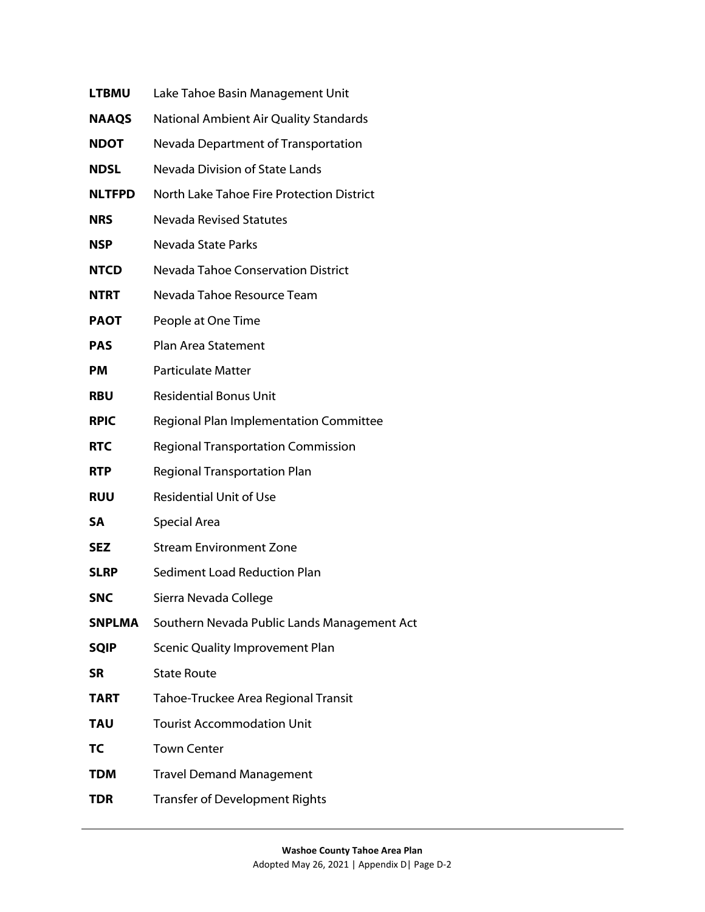| <b>LTBMU</b>  | Lake Tahoe Basin Management Unit              |
|---------------|-----------------------------------------------|
| <b>NAAQS</b>  | National Ambient Air Quality Standards        |
| <b>NDOT</b>   | Nevada Department of Transportation           |
| <b>NDSL</b>   | Nevada Division of State Lands                |
| <b>NLTFPD</b> | North Lake Tahoe Fire Protection District     |
| NRS           | <b>Nevada Revised Statutes</b>                |
| NSP           | <b>Nevada State Parks</b>                     |
| NTCD          | <b>Nevada Tahoe Conservation District</b>     |
| <b>NTRT</b>   | Nevada Tahoe Resource Team                    |
| <b>PAOT</b>   | People at One Time                            |
| <b>PAS</b>    | Plan Area Statement                           |
| <b>PM</b>     | <b>Particulate Matter</b>                     |
| <b>RBU</b>    | <b>Residential Bonus Unit</b>                 |
| <b>RPIC</b>   | <b>Regional Plan Implementation Committee</b> |
| <b>RTC</b>    | <b>Regional Transportation Commission</b>     |
| <b>RTP</b>    | <b>Regional Transportation Plan</b>           |
| <b>RUU</b>    | <b>Residential Unit of Use</b>                |
| SA            | Special Area                                  |
| <b>SEZ</b>    | <b>Stream Environment Zone</b>                |
| <b>SLRP</b>   | <b>Sediment Load Reduction Plan</b>           |
| <b>SNC</b>    | Sierra Nevada College                         |
| <b>SNPLMA</b> | Southern Nevada Public Lands Management Act   |
| <b>SQIP</b>   | <b>Scenic Quality Improvement Plan</b>        |
| <b>SR</b>     | <b>State Route</b>                            |
| <b>TART</b>   | Tahoe-Truckee Area Regional Transit           |
| <b>TAU</b>    | <b>Tourist Accommodation Unit</b>             |
| ТC            | <b>Town Center</b>                            |
| TDM           | <b>Travel Demand Management</b>               |
| <b>TDR</b>    | <b>Transfer of Development Rights</b>         |